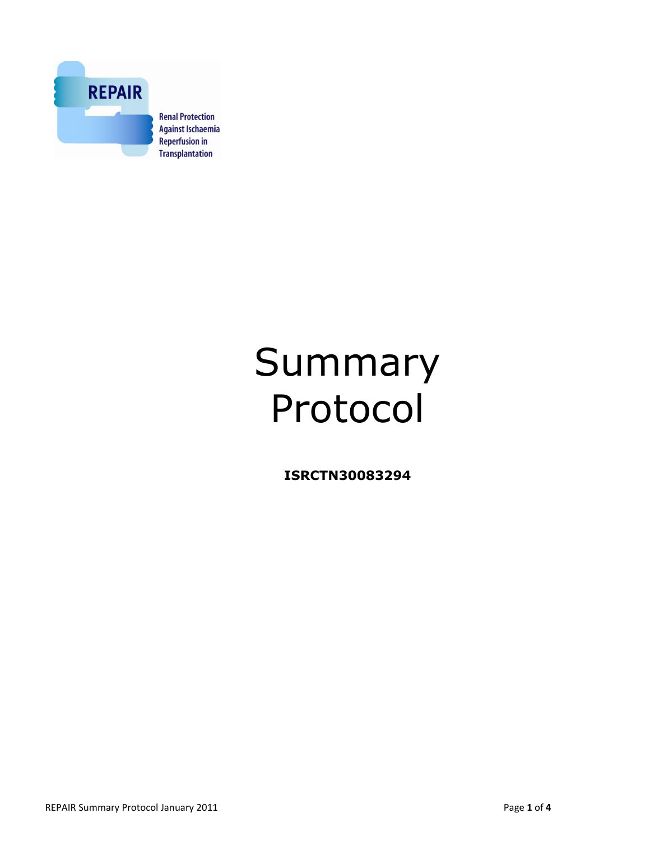

# Summary Protocol

**ISRCTN30083294**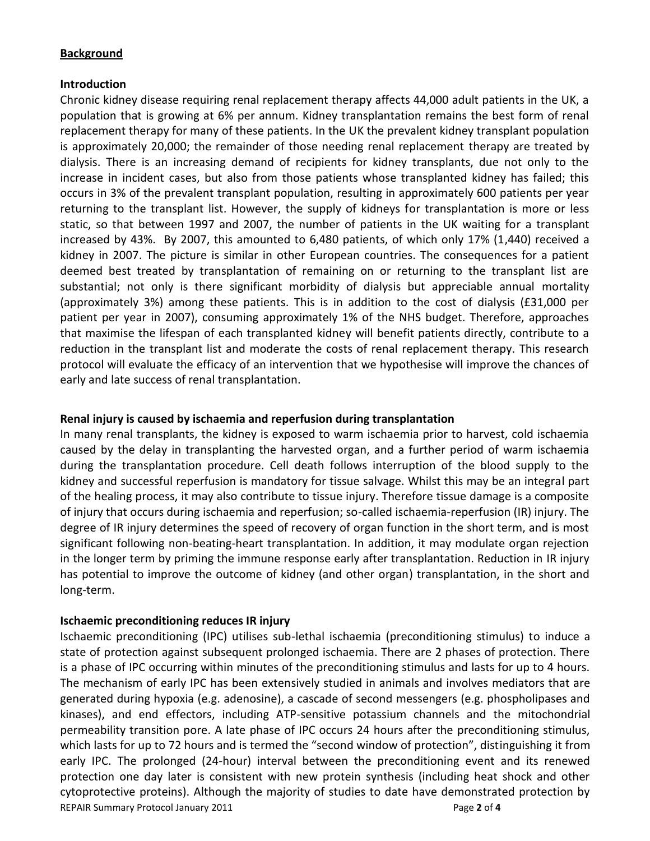#### **Background**

### **Introduction**

Chronic kidney disease requiring renal replacement therapy affects 44,000 adult patients in the UK, a population that is growing at 6% per annum. Kidney transplantation remains the best form of renal replacement therapy for many of these patients. In the UK the prevalent kidney transplant population is approximately 20,000; the remainder of those needing renal replacement therapy are treated by dialysis. There is an increasing demand of recipients for kidney transplants, due not only to the increase in incident cases, but also from those patients whose transplanted kidney has failed; this occurs in 3% of the prevalent transplant population, resulting in approximately 600 patients per year returning to the transplant list. However, the supply of kidneys for transplantation is more or less static, so that between 1997 and 2007, the number of patients in the UK waiting for a transplant increased by 43%. By 2007, this amounted to 6,480 patients, of which only 17% (1,440) received a kidney in 2007. The picture is similar in other European countries. The consequences for a patient deemed best treated by transplantation of remaining on or returning to the transplant list are substantial; not only is there significant morbidity of dialysis but appreciable annual mortality (approximately 3%) among these patients. This is in addition to the cost of dialysis (£31,000 per patient per year in 2007), consuming approximately 1% of the NHS budget. Therefore, approaches that maximise the lifespan of each transplanted kidney will benefit patients directly, contribute to a reduction in the transplant list and moderate the costs of renal replacement therapy. This research protocol will evaluate the efficacy of an intervention that we hypothesise will improve the chances of early and late success of renal transplantation.

#### **Renal injury is caused by ischaemia and reperfusion during transplantation**

In many renal transplants, the kidney is exposed to warm ischaemia prior to harvest, cold ischaemia caused by the delay in transplanting the harvested organ, and a further period of warm ischaemia during the transplantation procedure. Cell death follows interruption of the blood supply to the kidney and successful reperfusion is mandatory for tissue salvage. Whilst this may be an integral part of the healing process, it may also contribute to tissue injury. Therefore tissue damage is a composite of injury that occurs during ischaemia and reperfusion; so-called ischaemia-reperfusion (IR) injury. The degree of IR injury determines the speed of recovery of organ function in the short term, and is most significant following non-beating-heart transplantation. In addition, it may modulate organ rejection in the longer term by priming the immune response early after transplantation. Reduction in IR injury has potential to improve the outcome of kidney (and other organ) transplantation, in the short and long-term.

#### **Ischaemic preconditioning reduces IR injury**

REPAIR Summary Protocol January 2011 Page **2** of **4** Ischaemic preconditioning (IPC) utilises sub-lethal ischaemia (preconditioning stimulus) to induce a state of protection against subsequent prolonged ischaemia. There are 2 phases of protection. There is a phase of IPC occurring within minutes of the preconditioning stimulus and lasts for up to 4 hours. The mechanism of early IPC has been extensively studied in animals and involves mediators that are generated during hypoxia (e.g. adenosine), a cascade of second messengers (e.g. phospholipases and kinases), and end effectors, including ATP-sensitive potassium channels and the mitochondrial permeability transition pore. A late phase of IPC occurs 24 hours after the preconditioning stimulus, which lasts for up to 72 hours and is termed the "second window of protection", distinguishing it from early IPC. The prolonged (24-hour) interval between the preconditioning event and its renewed protection one day later is consistent with new protein synthesis (including heat shock and other cytoprotective proteins). Although the majority of studies to date have demonstrated protection by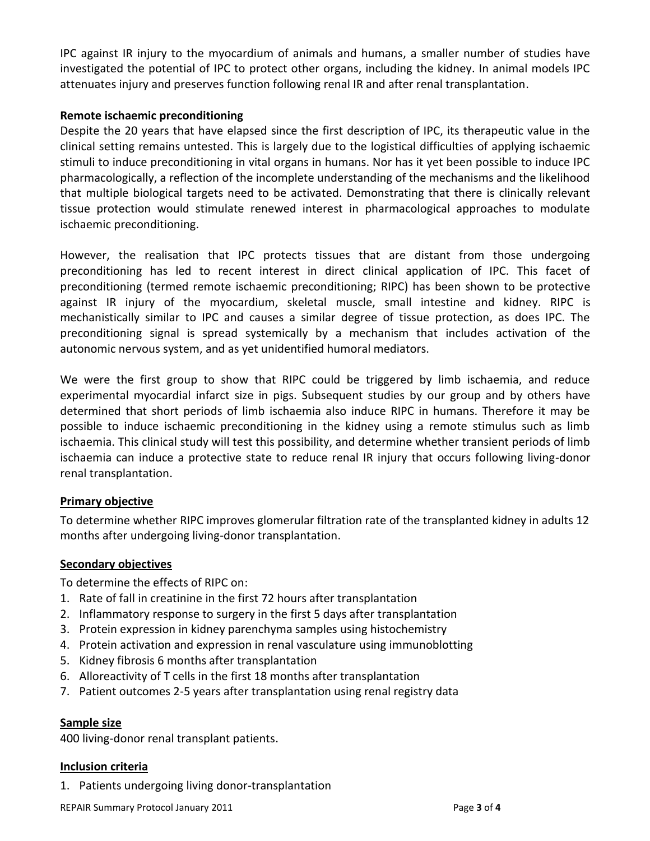IPC against IR injury to the myocardium of animals and humans, a smaller number of studies have investigated the potential of IPC to protect other organs, including the kidney. In animal models IPC attenuates injury and preserves function following renal IR and after renal transplantation.

## **Remote ischaemic preconditioning**

Despite the 20 years that have elapsed since the first description of IPC, its therapeutic value in the clinical setting remains untested. This is largely due to the logistical difficulties of applying ischaemic stimuli to induce preconditioning in vital organs in humans. Nor has it yet been possible to induce IPC pharmacologically, a reflection of the incomplete understanding of the mechanisms and the likelihood that multiple biological targets need to be activated. Demonstrating that there is clinically relevant tissue protection would stimulate renewed interest in pharmacological approaches to modulate ischaemic preconditioning.

However, the realisation that IPC protects tissues that are distant from those undergoing preconditioning has led to recent interest in direct clinical application of IPC. This facet of preconditioning (termed remote ischaemic preconditioning; RIPC) has been shown to be protective against IR injury of the myocardium, skeletal muscle, small intestine and kidney. RIPC is mechanistically similar to IPC and causes a similar degree of tissue protection, as does IPC. The preconditioning signal is spread systemically by a mechanism that includes activation of the autonomic nervous system, and as yet unidentified humoral mediators.

We were the first group to show that RIPC could be triggered by limb ischaemia, and reduce experimental myocardial infarct size in pigs. Subsequent studies by our group and by others have determined that short periods of limb ischaemia also induce RIPC in humans. Therefore it may be possible to induce ischaemic preconditioning in the kidney using a remote stimulus such as limb ischaemia. This clinical study will test this possibility, and determine whether transient periods of limb ischaemia can induce a protective state to reduce renal IR injury that occurs following living-donor renal transplantation.

## **Primary objective**

To determine whether RIPC improves glomerular filtration rate of the transplanted kidney in adults 12 months after undergoing living-donor transplantation.

### **Secondary objectives**

To determine the effects of RIPC on:

- 1. Rate of fall in creatinine in the first 72 hours after transplantation
- 2. Inflammatory response to surgery in the first 5 days after transplantation
- 3. Protein expression in kidney parenchyma samples using histochemistry
- 4. Protein activation and expression in renal vasculature using immunoblotting
- 5. Kidney fibrosis 6 months after transplantation
- 6. Alloreactivity of T cells in the first 18 months after transplantation
- 7. Patient outcomes 2-5 years after transplantation using renal registry data

### **Sample size**

400 living-donor renal transplant patients.

### **Inclusion criteria**

1. Patients undergoing living donor-transplantation

REPAIR Summary Protocol January 2011 Page **3** of **4**